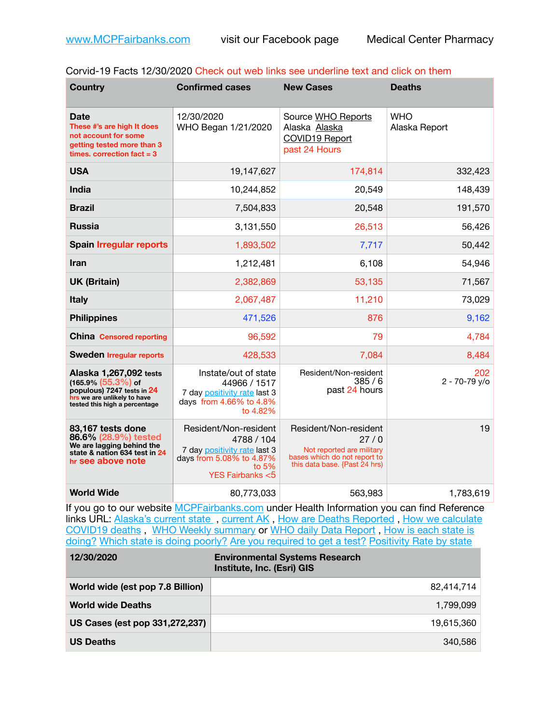| Corvid-19 Facts 12/30/2020 Check out web links see underline text and click on them |  |
|-------------------------------------------------------------------------------------|--|
|-------------------------------------------------------------------------------------|--|

| <b>Country</b>                                                                                                                                 | <b>Confirmed cases</b>                                                                                                                   | <b>New Cases</b>                                                                                                            | <b>Deaths</b>               |
|------------------------------------------------------------------------------------------------------------------------------------------------|------------------------------------------------------------------------------------------------------------------------------------------|-----------------------------------------------------------------------------------------------------------------------------|-----------------------------|
| <b>Date</b><br>These #'s are high It does<br>not account for some<br>getting tested more than 3<br>times, correction fact $=$ 3                | 12/30/2020<br>WHO Began 1/21/2020                                                                                                        | Source WHO Reports<br>Alaska Alaska<br>COVID19 Report<br>past 24 Hours                                                      | <b>WHO</b><br>Alaska Report |
| <b>USA</b>                                                                                                                                     | 19,147,627                                                                                                                               | 174,814                                                                                                                     | 332,423                     |
| <b>India</b>                                                                                                                                   | 10,244,852                                                                                                                               | 20,549                                                                                                                      | 148,439                     |
| <b>Brazil</b>                                                                                                                                  | 7,504,833                                                                                                                                | 20,548                                                                                                                      | 191,570                     |
| <b>Russia</b>                                                                                                                                  | 3,131,550                                                                                                                                | 26,513                                                                                                                      | 56,426                      |
| <b>Spain Irregular reports</b>                                                                                                                 | 1,893,502                                                                                                                                | 7,717                                                                                                                       | 50,442                      |
| Iran                                                                                                                                           | 1,212,481                                                                                                                                | 6,108                                                                                                                       | 54,946                      |
| <b>UK (Britain)</b>                                                                                                                            | 2,382,869                                                                                                                                | 53,135                                                                                                                      | 71,567                      |
| <b>Italy</b>                                                                                                                                   | 2,067,487                                                                                                                                | 11,210                                                                                                                      | 73,029                      |
| <b>Philippines</b>                                                                                                                             | 471,526                                                                                                                                  | 876                                                                                                                         | 9,162                       |
| <b>China</b> Censored reporting                                                                                                                | 96,592                                                                                                                                   | 79                                                                                                                          | 4,784                       |
| <b>Sweden Irregular reports</b>                                                                                                                | 428,533                                                                                                                                  | 7,084                                                                                                                       | 8,484                       |
| Alaska 1,267,092 tests<br>$(165.9\%)(55.3\%)$ of<br>populous) 7247 tests in 24<br>hrs we are unlikely to have<br>tested this high a percentage | Instate/out of state<br>44966 / 1517<br>7 day positivity rate last 3<br>days from 4.66% to 4.8%<br>to 4.82%                              | Resident/Non-resident<br>385/6<br>past 24 hours                                                                             | 202<br>$2 - 70 - 79$ y/o    |
| 83,167 tests done<br>86.6% (28.9%) tested<br>We are lagging behind the<br>state & nation 634 test in 24<br>hr see above note                   | Resident/Non-resident<br>4788 / 104<br>7 day positivity rate last 3<br>days from 5.08% to 4.87%<br>to $5%$<br><b>YES Fairbanks &lt;5</b> | Resident/Non-resident<br>27/0<br>Not reported are military<br>bases which do not report to<br>this data base. {Past 24 hrs) | 19                          |
| <b>World Wide</b>                                                                                                                              | 80,773,033                                                                                                                               | 563,983                                                                                                                     | 1,783,619                   |

If you go to our website [MCPFairbanks.com](http://www.MCPFairbanks.com) under Health Information you can find Reference links URL: Alaska's current state, current AK, [How are Deaths Reported](http://dhss.alaska.gov/dph/Epi/id/Pages/COVID-19/deathcounts.aspx), How we calculate [COVID19 deaths](https://coronavirus-response-alaska-dhss.hub.arcgis.com/search?collection=Document&groupIds=41ccb3344ebc4bd682c74073eba21f42) , [WHO Weekly summary](http://www.who.int) or [WHO daily Data Report](https://covid19.who.int/table) , [How is each state is](https://www.msn.com/en-us/news/us/state-by-state-coronavirus-news/ar-BB13E1PX?fbclid=IwAR0_OBJH7lSyTN3ug_MsOeFnNgB1orTa9OBgilKJ7dhnwlVvHEsptuKkj1c)  [doing?](https://www.msn.com/en-us/news/us/state-by-state-coronavirus-news/ar-BB13E1PX?fbclid=IwAR0_OBJH7lSyTN3ug_MsOeFnNgB1orTa9OBgilKJ7dhnwlVvHEsptuKkj1c) [Which state is doing poorly?](https://bestlifeonline.com/covid-outbreak-your-state/?utm_source=nsltr&utm_medium=email&utm_content=covid-outbreak-your-state&utm_campaign=launch) [Are you required to get a test?](http://dhss.alaska.gov/dph/Epi/id/SiteAssets/Pages/HumanCoV/Whattodoafteryourtest.pdf) [Positivity Rate by state](https://coronavirus.jhu.edu/testing/individual-states/alaska)

| 12/30/2020                       | <b>Environmental Systems Research</b><br>Institute, Inc. (Esri) GIS |
|----------------------------------|---------------------------------------------------------------------|
| World wide (est pop 7.8 Billion) | 82.414.714                                                          |
| <b>World wide Deaths</b>         | 1.799.099                                                           |
| US Cases (est pop 331,272,237)   | 19,615,360                                                          |
| <b>US Deaths</b>                 | 340.586                                                             |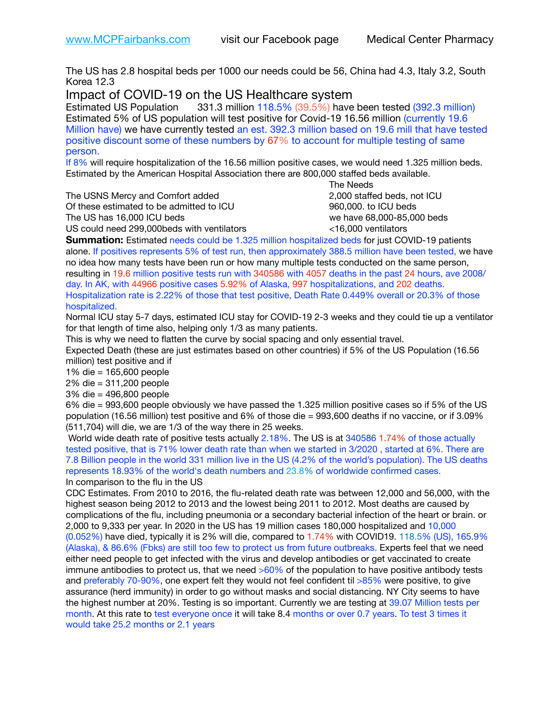The US has 2.8 hospital beds per 1000 our needs could be 56, China had 4.3, Italy 3.2, South Korea 12.3

Impact of COVID-19 on the US Healthcare system

Estimated US Population 331.3 million 118.5% (39.5%) have been tested (392.3 million) Estimated 5% of US population will test positive for Covid-19 16.56 million (currently 19.6 Million have) we have currently tested an est. 392.3 million based on 19.6 mill that have tested positive discount some of these numbers by 67% to account for multiple testing of same person.

If 8% will require hospitalization of the 16.56 million positive cases, we would need 1.325 million beds. Estimated by the American Hospital Association there are 800,000 staffed beds available. 

The USNS Mercy and Comfort added 2,000 staffed beds, not ICU

Of these estimated to be admitted to ICU 960,000. to ICU beds The US has 16,000 ICU beds we have 68,000-85,000 beds ve have 68,000-85,000 beds

 The Needs US could need 299,000beds with ventilators <16,000 ventilators

**Summation:** Estimated needs could be 1.325 million hospitalized beds for just COVID-19 patients alone. If positives represents 5% of test run, then approximately 388.5 million have been tested, we have no idea how many tests have been run or how many multiple tests conducted on the same person, resulting in 19.6 million positive tests run with 340586 with 4057 deaths in the past 24 hours, ave 2008/ day. In AK, with 44966 positive cases 5.92% of Alaska, 997 hospitalizations, and 202 deaths. Hospitalization rate is 2.22% of those that test positive, Death Rate 0.449% overall or 20.3% of those hospitalized.

Normal ICU stay 5-7 days, estimated ICU stay for COVID-19 2-3 weeks and they could tie up a ventilator for that length of time also, helping only 1/3 as many patients.

This is why we need to flatten the curve by social spacing and only essential travel.

Expected Death (these are just estimates based on other countries) if 5% of the US Population (16.56 million) test positive and if

1% die = 165,600 people

2% die = 311,200 people

3% die = 496,800 people

6% die = 993,600 people obviously we have passed the 1.325 million positive cases so if 5% of the US population (16.56 million) test positive and 6% of those die = 993,600 deaths if no vaccine, or if 3.09% (511,704) will die, we are 1/3 of the way there in 25 weeks.

 World wide death rate of positive tests actually 2.18%. The US is at 340586 1.74% of those actually tested positive, that is 71% lower death rate than when we started in 3/2020 , started at 6%. There are 7.8 Billion people in the world 331 million live in the US (4.2% of the world's population). The US deaths represents 18.93% of the world's death numbers and 23.8% of worldwide confirmed cases. In comparison to the flu in the US

CDC Estimates. From 2010 to 2016, the flu-related death rate was between 12,000 and 56,000, with the highest season being 2012 to 2013 and the lowest being 2011 to 2012. Most deaths are caused by complications of the flu, including pneumonia or a secondary bacterial infection of the heart or brain. or 2,000 to 9,333 per year. In 2020 in the US has 19 million cases 180,000 hospitalized and 10,000 (0.052%) have died, typically it is 2% will die, compared to 1.74% with COVID19. 118.5% (US), 165.9% (Alaska), & 86.6% (Fbks) are still too few to protect us from future outbreaks. Experts feel that we need either need people to get infected with the virus and develop antibodies or get vaccinated to create immune antibodies to protect us, that we need  $>60\%$  of the population to have positive antibody tests and preferably 70-90%, one expert felt they would not feel confident til >85% were positive, to give assurance (herd immunity) in order to go without masks and social distancing. NY City seems to have the highest number at 20%. Testing is so important. Currently we are testing at 39.07 Million tests per month. At this rate to test everyone once it will take 8.4 months or over 0.7 years. To test 3 times it would take 25.2 months or 2.1 years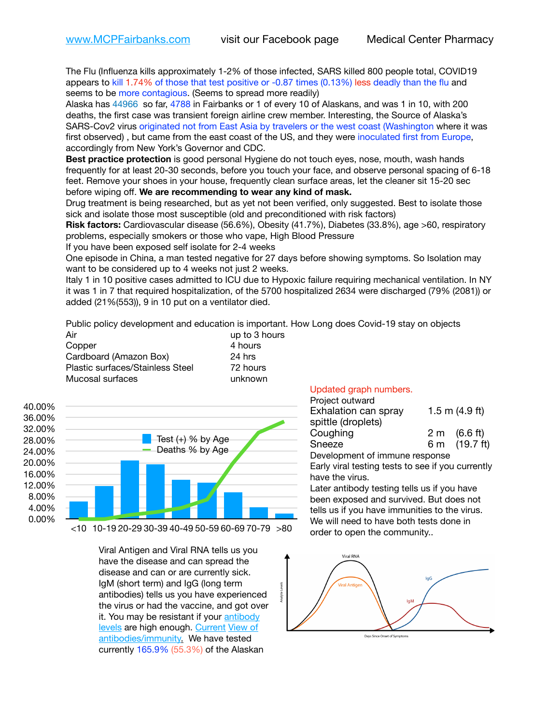The Flu (Influenza kills approximately 1-2% of those infected, SARS killed 800 people total, COVID19 appears to kill 1.74% of those that test positive or -0.87 times (0.13%) less deadly than the flu and seems to be more contagious. (Seems to spread more readily)

Alaska has 44966 so far, 4788 in Fairbanks or 1 of every 10 of Alaskans, and was 1 in 10, with 200 deaths, the first case was transient foreign airline crew member. Interesting, the Source of Alaska's SARS-Cov2 virus originated not from East Asia by travelers or the west coast (Washington where it was first observed) , but came from the east coast of the US, and they were inoculated first from Europe, accordingly from New York's Governor and CDC.

**Best practice protection** is good personal Hygiene do not touch eyes, nose, mouth, wash hands frequently for at least 20-30 seconds, before you touch your face, and observe personal spacing of 6-18 feet. Remove your shoes in your house, frequently clean surface areas, let the cleaner sit 15-20 sec before wiping off. **We are recommending to wear any kind of mask.**

Drug treatment is being researched, but as yet not been verified, only suggested. Best to isolate those sick and isolate those most susceptible (old and preconditioned with risk factors)

**Risk factors:** Cardiovascular disease (56.6%), Obesity (41.7%), Diabetes (33.8%), age >60, respiratory problems, especially smokers or those who vape, High Blood Pressure

If you have been exposed self isolate for 2-4 weeks

One episode in China, a man tested negative for 27 days before showing symptoms. So Isolation may want to be considered up to 4 weeks not just 2 weeks.

Italy 1 in 10 positive cases admitted to ICU due to Hypoxic failure requiring mechanical ventilation. In NY it was 1 in 7 that required hospitalization, of the 5700 hospitalized 2634 were discharged (79% (2081)) or added (21%(553)), 9 in 10 put on a ventilator died.

Public policy development and education is important. How Long does Covid-19 stay on objects

| Air                              | up to 3 hours |
|----------------------------------|---------------|
| Copper                           | 4 hours       |
| Cardboard (Amazon Box)           | 24 hrs        |
| Plastic surfaces/Stainless Steel | 72 hours      |
| Mucosal surfaces                 | unknown       |



<10 10-19 20-29 30-39 40-49 50-59 60-69 70-79 >80

Viral Antigen and Viral RNA tells us you have the disease and can spread the disease and can or are currently sick. IgM (short term) and IgG (long term antibodies) tells us you have experienced the virus or had the vaccine, and got over it. You may be resistant if your [antibody](https://www.cdc.gov/coronavirus/2019-ncov/lab/resources/antibody-tests.html)  [levels](https://www.cdc.gov/coronavirus/2019-ncov/lab/resources/antibody-tests.html) are high enough. [Current](https://l.facebook.com/l.php?u=https://www.itv.com/news/2020-10-26/covid-19-antibody-levels-reduce-over-time-study-finds?fbclid=IwAR3Dapzh1qIH1EIOdUQI2y8THf7jfA4KBCaJz8Qg-8xe1YsrR4nsAHDIXSY&h=AT30nut8pkqp0heVuz5W2rT2WFFm-2Ab52BsJxZZCNlGsX58IpPkuVEPULbIUV_M16MAukx1Kwb657DPXxsgDN1rpOQ4gqBtQsmVYiWpnHPJo2RQsU6CPMd14lgLnQnFWxfVi6zvmw&__tn__=-UK-R&c%5B0%5D=AT1GaRAfR_nGAyqcn7TI1-PpvqOqEKXHnz6TDWvRStMnOSH7boQDvTiwTOc6VId9UES6LKiOmm2m88wKCoolkJyOFvakt2Z1Mw8toYWGGoWW23r0MNVBl7cYJXB_UOvGklNHaNnaNr1_S7NhT3BSykNOBg) [View of](https://www.livescience.com/antibodies.html)  [antibodies/immunity](https://www.livescience.com/antibodies.html)[.](https://www.itv.com/news/2020-10-26/covid-19-antibody-levels-reduce-over-time-study-finds) We have tested currently 165.9% (55.3%) of the Alaskan

## Updated graph numbers.

| Project outward                |  |                        |
|--------------------------------|--|------------------------|
| Exhalation can spray           |  | 1.5 m $(4.9$ ft)       |
| spittle (droplets)             |  |                        |
| Coughing                       |  | $2 \text{ m}$ (6.6 ft) |
| Sneeze                         |  | 6 m (19.7 ft)          |
| Development of immune response |  |                        |

Early viral testing tests to see if you currently have the virus.

Later antibody testing tells us if you have been exposed and survived. But does not tells us if you have immunities to the virus. We will need to have both tests done in order to open the community..



Days Since Onset of Symptoms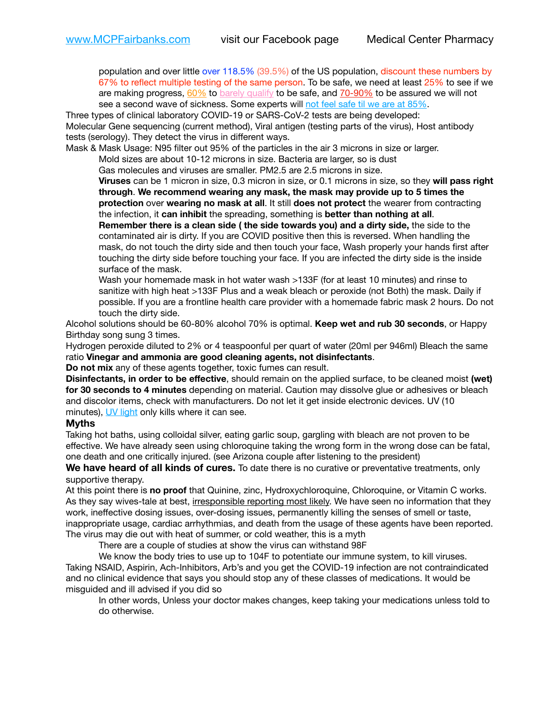population and over little over 118.5% (39.5%) of the US population, discount these numbers by 67% to reflect multiple testing of the same person. To be safe, we need at least 25% to see if we are making progress,  $60\%$  to [barely qualify](https://www.nature.com/articles/d41586-020-02948-4) to be safe, and  $70-90\%$  to be assured we will not see a second wave of sickness. Some experts will [not feel safe til we are at 85%.](https://www.bannerhealth.com/healthcareblog/teach-me/what-is-herd-immunity)

Three types of clinical laboratory COVID-19 or SARS-CoV-2 tests are being developed: Molecular Gene sequencing (current method), Viral antigen (testing parts of the virus), Host antibody tests (serology). They detect the virus in different ways.

Mask & Mask Usage: N95 filter out 95% of the particles in the air 3 microns in size or larger.

Mold sizes are about 10-12 microns in size. Bacteria are larger, so is dust

Gas molecules and viruses are smaller. PM2.5 are 2.5 microns in size.

**Viruses** can be 1 micron in size, 0.3 micron in size, or 0.1 microns in size, so they **will pass right through**. **We recommend wearing any mask, the mask may provide up to 5 times the protection** over **wearing no mask at all**. It still **does not protect** the wearer from contracting the infection, it **can inhibit** the spreading, something is **better than nothing at all**.

**Remember there is a clean side ( the side towards you) and a dirty side,** the side to the contaminated air is dirty. If you are COVID positive then this is reversed. When handling the mask, do not touch the dirty side and then touch your face, Wash properly your hands first after touching the dirty side before touching your face. If you are infected the dirty side is the inside surface of the mask.

Wash your homemade mask in hot water wash >133F (for at least 10 minutes) and rinse to sanitize with high heat >133F Plus and a weak bleach or peroxide (not Both) the mask. Daily if possible. If you are a frontline health care provider with a homemade fabric mask 2 hours. Do not touch the dirty side.

Alcohol solutions should be 60-80% alcohol 70% is optimal. **Keep wet and rub 30 seconds**, or Happy Birthday song sung 3 times.

Hydrogen peroxide diluted to 2% or 4 teaspoonful per quart of water (20ml per 946ml) Bleach the same ratio **Vinegar and ammonia are good cleaning agents, not disinfectants**.

**Do not mix** any of these agents together, toxic fumes can result.

**Disinfectants, in order to be effective**, should remain on the applied surface, to be cleaned moist **(wet) for 30 seconds to 4 minutes** depending on material. Caution may dissolve glue or adhesives or bleach and discolor items, check with manufacturers. Do not let it get inside electronic devices. UV (10 minutes), [UV light](http://www.docreviews.me/best-uv-boxes-2020/?fbclid=IwAR3bvFtXB48OoBBSvYvTEnKuHNPbipxM6jUo82QUSw9wckxjC7wwRZWabGw) only kills where it can see.

## **Myths**

Taking hot baths, using colloidal silver, eating garlic soup, gargling with bleach are not proven to be effective. We have already seen using chloroquine taking the wrong form in the wrong dose can be fatal, one death and one critically injured. (see Arizona couple after listening to the president)

**We have heard of all kinds of cures.** To date there is no curative or preventative treatments, only supportive therapy.

At this point there is **no proof** that Quinine, zinc, Hydroxychloroquine, Chloroquine, or Vitamin C works. As they say wives-tale at best, irresponsible reporting most likely. We have seen no information that they work, ineffective dosing issues, over-dosing issues, permanently killing the senses of smell or taste, inappropriate usage, cardiac arrhythmias, and death from the usage of these agents have been reported. The virus may die out with heat of summer, or cold weather, this is a myth

There are a couple of studies at show the virus can withstand 98F

We know the body tries to use up to 104F to potentiate our immune system, to kill viruses. Taking NSAID, Aspirin, Ach-Inhibitors, Arb's and you get the COVID-19 infection are not contraindicated and no clinical evidence that says you should stop any of these classes of medications. It would be misguided and ill advised if you did so

In other words, Unless your doctor makes changes, keep taking your medications unless told to do otherwise.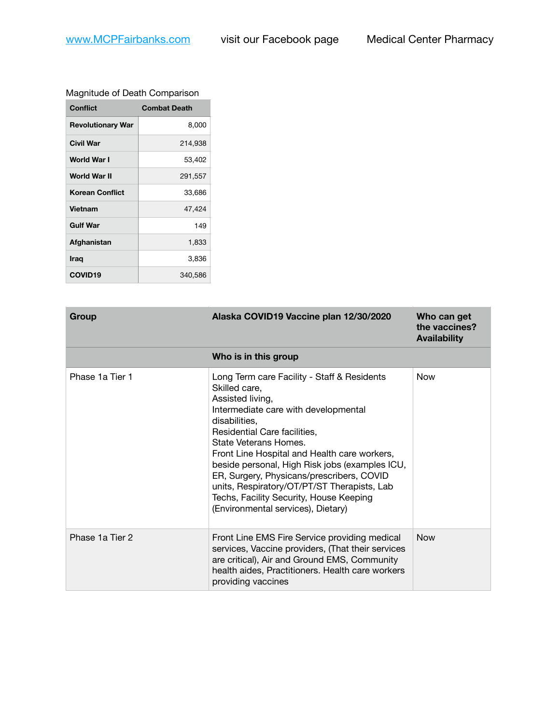## Magnitude of Death Comparison

| <b>Conflict</b>          | <b>Combat Death</b> |
|--------------------------|---------------------|
| <b>Revolutionary War</b> | 8,000               |
| Civil War                | 214,938             |
| World War I              | 53,402              |
| World War II             | 291,557             |
| <b>Korean Conflict</b>   | 33,686              |
| <b>Vietnam</b>           | 47,424              |
| <b>Gulf War</b>          | 149                 |
| Afghanistan              | 1,833               |
| Iraq                     | 3,836               |
| <b>COVID19</b>           | 340,586             |

| Group           | Alaska COVID19 Vaccine plan 12/30/2020                                                                                                                                                                                                                                                                                                                                                                                                                                            | Who can get<br>the vaccines?<br><b>Availability</b> |
|-----------------|-----------------------------------------------------------------------------------------------------------------------------------------------------------------------------------------------------------------------------------------------------------------------------------------------------------------------------------------------------------------------------------------------------------------------------------------------------------------------------------|-----------------------------------------------------|
|                 | Who is in this group                                                                                                                                                                                                                                                                                                                                                                                                                                                              |                                                     |
| Phase 1a Tier 1 | Long Term care Facility - Staff & Residents<br>Skilled care,<br>Assisted living,<br>Intermediate care with developmental<br>disabilities,<br>Residential Care facilities,<br>State Veterans Homes.<br>Front Line Hospital and Health care workers,<br>beside personal, High Risk jobs (examples ICU,<br>ER, Surgery, Physicans/prescribers, COVID<br>units, Respiratory/OT/PT/ST Therapists, Lab<br>Techs, Facility Security, House Keeping<br>(Environmental services), Dietary) | <b>Now</b>                                          |
| Phase 1a Tier 2 | Front Line EMS Fire Service providing medical<br>services, Vaccine providers, (That their services<br>are critical), Air and Ground EMS, Community<br>health aides, Practitioners. Health care workers<br>providing vaccines                                                                                                                                                                                                                                                      | <b>Now</b>                                          |